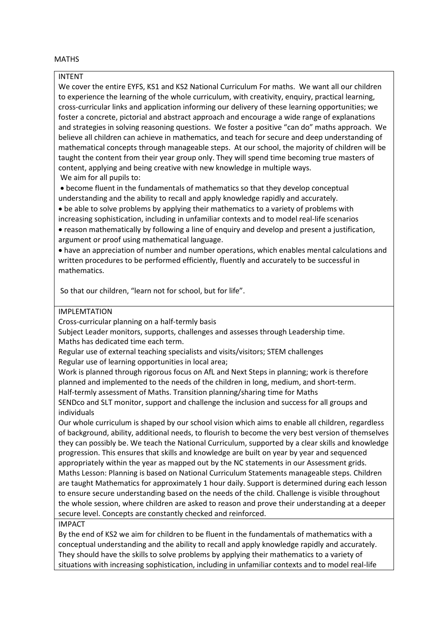## **MATHS**

## INTENT

We cover the entire EYFS, KS1 and KS2 National Curriculum For maths. We want all our children to experience the learning of the whole curriculum, with creativity, enquiry, practical learning, cross-curricular links and application informing our delivery of these learning opportunities; we foster a concrete, pictorial and abstract approach and encourage a wide range of explanations and strategies in solving reasoning questions. We foster a positive "can do" maths approach. We believe all children can achieve in mathematics, and teach for secure and deep understanding of mathematical concepts through manageable steps. At our school, the majority of children will be taught the content from their year group only. They will spend time becoming true masters of content, applying and being creative with new knowledge in multiple ways. We aim for all pupils to:

• become fluent in the fundamentals of mathematics so that they develop conceptual understanding and the ability to recall and apply knowledge rapidly and accurately.

• be able to solve problems by applying their mathematics to a variety of problems with increasing sophistication, including in unfamiliar contexts and to model real-life scenarios

• reason mathematically by following a line of enquiry and develop and present a justification, argument or proof using mathematical language.

• have an appreciation of number and number operations, which enables mental calculations and written procedures to be performed efficiently, fluently and accurately to be successful in mathematics.

So that our children, "learn not for school, but for life".

## IMPLEMTATION

Cross-curricular planning on a half-termly basis

Subject Leader monitors, supports, challenges and assesses through Leadership time. Maths has dedicated time each term.

Regular use of external teaching specialists and visits/visitors; STEM challenges Regular use of learning opportunities in local area;

Work is planned through rigorous focus on AfL and Next Steps in planning; work is therefore planned and implemented to the needs of the children in long, medium, and short-term. Half-termly assessment of Maths. Transition planning/sharing time for Maths

SENDco and SLT monitor, support and challenge the inclusion and success for all groups and individuals

Our whole curriculum is shaped by our school vision which aims to enable all children, regardless of background, ability, additional needs, to flourish to become the very best version of themselves they can possibly be. We teach the National Curriculum, supported by a clear skills and knowledge progression. This ensures that skills and knowledge are built on year by year and sequenced appropriately within the year as mapped out by the NC statements in our Assessment grids. Maths Lesson: Planning is based on National Curriculum Statements manageable steps. Children are taught Mathematics for approximately 1 hour daily. Support is determined during each lesson to ensure secure understanding based on the needs of the child. Challenge is visible throughout the whole session, where children are asked to reason and prove their understanding at a deeper secure level. Concepts are constantly checked and reinforced.

## IMPACT

By the end of KS2 we aim for children to be fluent in the fundamentals of mathematics with a conceptual understanding and the ability to recall and apply knowledge rapidly and accurately. They should have the skills to solve problems by applying their mathematics to a variety of situations with increasing sophistication, including in unfamiliar contexts and to model real-life